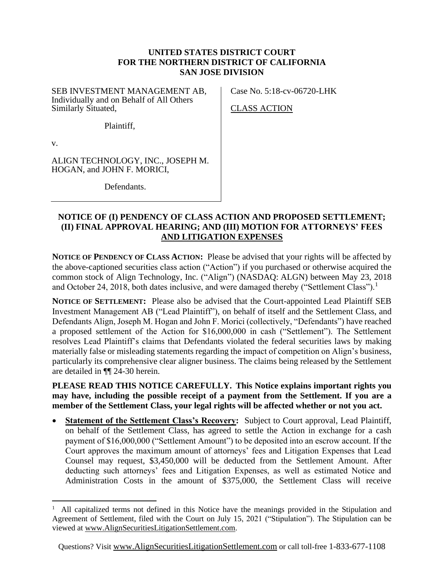### **UNITED STATES DISTRICT COURT FOR THE NORTHERN DISTRICT OF CALIFORNIA SAN JOSE DIVISION**

SEB INVESTMENT MANAGEMENT AB, Individually and on Behalf of All Others Similarly Situated,

Plaintiff,

Case No. 5:18-cv-06720-LHK

CLASS ACTION

v.

ALIGN TECHNOLOGY, INC., JOSEPH M. HOGAN, and JOHN F. MORICI,

Defendants.

#### **NOTICE OF (I) PENDENCY OF CLASS ACTION AND PROPOSED SETTLEMENT; (II) FINAL APPROVAL HEARING; AND (III) MOTION FOR ATTORNEYS' FEES AND LITIGATION EXPENSES**

**NOTICE OF PENDENCY OF CLASS ACTION:** Please be advised that your rights will be affected by the above-captioned securities class action ("Action") if you purchased or otherwise acquired the common stock of Align Technology, Inc. ("Align") (NASDAQ: ALGN) between May 23, 2018 and October 24, 2018, both dates inclusive, and were damaged thereby ("Settlement Class").<sup>1</sup>

**NOTICE OF SETTLEMENT:** Please also be advised that the Court-appointed Lead Plaintiff SEB Investment Management AB ("Lead Plaintiff"), on behalf of itself and the Settlement Class, and Defendants Align, Joseph M. Hogan and John F. Morici (collectively, "Defendants") have reached a proposed settlement of the Action for \$16,000,000 in cash ("Settlement"). The Settlement resolves Lead Plaintiff's claims that Defendants violated the federal securities laws by making materially false or misleading statements regarding the impact of competition on Align's business, particularly its comprehensive clear aligner business. The claims being released by the Settlement are detailed in ¶¶ 24-30 herein.

**PLEASE READ THIS NOTICE CAREFULLY. This Notice explains important rights you may have, including the possible receipt of a payment from the Settlement. If you are a member of the Settlement Class, your legal rights will be affected whether or not you act.**

**Statement of the Settlement Class's Recovery:** Subject to Court approval, Lead Plaintiff, on behalf of the Settlement Class, has agreed to settle the Action in exchange for a cash payment of \$16,000,000 ("Settlement Amount") to be deposited into an escrow account. If the Court approves the maximum amount of attorneys' fees and Litigation Expenses that Lead Counsel may request, \$3,450,000 will be deducted from the Settlement Amount. After deducting such attorneys' fees and Litigation Expenses, as well as estimated Notice and Administration Costs in the amount of \$375,000, the Settlement Class will receive

<sup>1</sup> All capitalized terms not defined in this Notice have the meanings provided in the Stipulation and Agreement of Settlement, filed with the Court on July 15, 2021 ("Stipulation"). The Stipulation can be viewed at www.AlignSecuritiesLitigationSettlement.com.

Questions? Visit www.AlignSecuritiesLitigationSettlement.com or call toll-free 1-833-677-1108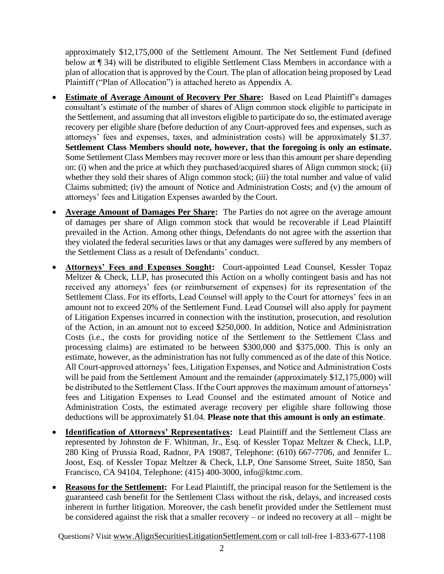approximately \$12,175,000 of the Settlement Amount. The Net Settlement Fund (defined below at ¶ 34) will be distributed to eligible Settlement Class Members in accordance with a plan of allocation that is approved by the Court. The plan of allocation being proposed by Lead Plaintiff ("Plan of Allocation") is attached hereto as Appendix A.

- **Estimate of Average Amount of Recovery Per Share:** Based on Lead Plaintiff's damages consultant's estimate of the number of shares of Align common stock eligible to participate in the Settlement, and assuming that all investors eligible to participate do so, the estimated average recovery per eligible share (before deduction of any Court-approved fees and expenses, such as attorneys' fees and expenses, taxes, and administration costs) will be approximately \$1.37. **Settlement Class Members should note, however, that the foregoing is only an estimate.** Some Settlement Class Members may recover more or less than this amount per share depending on: (i) when and the price at which they purchased/acquired shares of Align common stock; (ii) whether they sold their shares of Align common stock; (iii) the total number and value of valid Claims submitted; (iv) the amount of Notice and Administration Costs; and (v) the amount of attorneys' fees and Litigation Expenses awarded by the Court.
- **Average Amount of Damages Per Share:** The Parties do not agree on the average amount of damages per share of Align common stock that would be recoverable if Lead Plaintiff prevailed in the Action. Among other things, Defendants do not agree with the assertion that they violated the federal securities laws or that any damages were suffered by any members of the Settlement Class as a result of Defendants' conduct.
- **Attorneys' Fees and Expenses Sought:** Court-appointed Lead Counsel, Kessler Topaz Meltzer & Check, LLP, has prosecuted this Action on a wholly contingent basis and has not received any attorneys' fees (or reimbursement of expenses) for its representation of the Settlement Class. For its efforts, Lead Counsel will apply to the Court for attorneys' fees in an amount not to exceed 20% of the Settlement Fund. Lead Counsel will also apply for payment of Litigation Expenses incurred in connection with the institution, prosecution, and resolution of the Action, in an amount not to exceed \$250,000. In addition, Notice and Administration Costs (i.e., the costs for providing notice of the Settlement to the Settlement Class and processing claims) are estimated to be between \$300,000 and \$375,000. This is only an estimate, however, as the administration has not fully commenced as of the date of this Notice. All Court-approved attorneys' fees, Litigation Expenses, and Notice and Administration Costs will be paid from the Settlement Amount and the remainder (approximately \$12,175,000) will be distributed to the Settlement Class. If the Court approves the maximum amount of attorneys' fees and Litigation Expenses to Lead Counsel and the estimated amount of Notice and Administration Costs, the estimated average recovery per eligible share following those deductions will be approximately \$1.04. **Please note that this amount is only an estimate**.
- **Identification of Attorneys' Representatives:** Lead Plaintiff and the Settlement Class are represented by Johnston de F. Whitman, Jr., Esq. of Kessler Topaz Meltzer & Check, LLP, 280 King of Prussia Road, Radnor, PA 19087, Telephone: (610) 667-7706, and Jennifer L. Joost, Esq. of Kessler Topaz Meltzer & Check, LLP, One Sansome Street, Suite 1850, San Francisco, CA 94104, Telephone: (415) 400-3000, info@ktmc.com.
- **Reasons for the Settlement:** For Lead Plaintiff, the principal reason for the Settlement is the guaranteed cash benefit for the Settlement Class without the risk, delays, and increased costs inherent in further litigation. Moreover, the cash benefit provided under the Settlement must be considered against the risk that a smaller recovery – or indeed no recovery at all – might be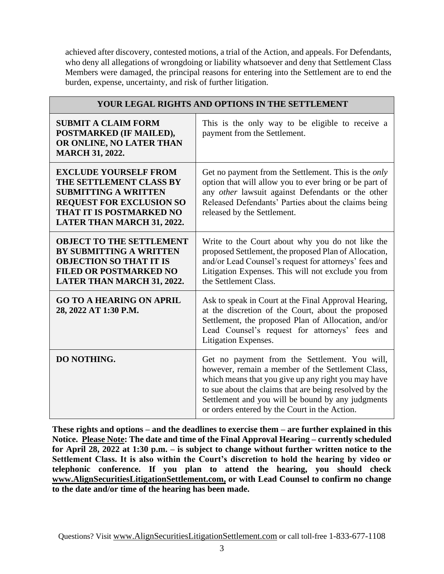achieved after discovery, contested motions, a trial of the Action, and appeals. For Defendants, who deny all allegations of wrongdoing or liability whatsoever and deny that Settlement Class Members were damaged, the principal reasons for entering into the Settlement are to end the burden, expense, uncertainty, and risk of further litigation.

| YOUR LEGAL RIGHTS AND OPTIONS IN THE SETTLEMENT                                                                                                                                            |                                                                                                                                                                                                                                                                                                                           |  |  |
|--------------------------------------------------------------------------------------------------------------------------------------------------------------------------------------------|---------------------------------------------------------------------------------------------------------------------------------------------------------------------------------------------------------------------------------------------------------------------------------------------------------------------------|--|--|
| <b>SUBMIT A CLAIM FORM</b><br>POSTMARKED (IF MAILED),<br>OR ONLINE, NO LATER THAN<br><b>MARCH 31, 2022.</b>                                                                                | This is the only way to be eligible to receive a<br>payment from the Settlement.                                                                                                                                                                                                                                          |  |  |
| <b>EXCLUDE YOURSELF FROM</b><br>THE SETTLEMENT CLASS BY<br><b>SUBMITTING A WRITTEN</b><br><b>REQUEST FOR EXCLUSION SO</b><br>THAT IT IS POSTMARKED NO<br><b>LATER THAN MARCH 31, 2022.</b> | Get no payment from the Settlement. This is the <i>only</i><br>option that will allow you to ever bring or be part of<br>any other lawsuit against Defendants or the other<br>Released Defendants' Parties about the claims being<br>released by the Settlement.                                                          |  |  |
| <b>OBJECT TO THE SETTLEMENT</b><br><b>BY SUBMITTING A WRITTEN</b><br><b>OBJECTION SO THAT IT IS</b><br><b>FILED OR POSTMARKED NO</b><br>LATER THAN MARCH 31, 2022.                         | Write to the Court about why you do not like the<br>proposed Settlement, the proposed Plan of Allocation,<br>and/or Lead Counsel's request for attorneys' fees and<br>Litigation Expenses. This will not exclude you from<br>the Settlement Class.                                                                        |  |  |
| <b>GO TO A HEARING ON APRIL</b><br>28, 2022 AT 1:30 P.M.                                                                                                                                   | Ask to speak in Court at the Final Approval Hearing,<br>at the discretion of the Court, about the proposed<br>Settlement, the proposed Plan of Allocation, and/or<br>Lead Counsel's request for attorneys' fees and<br>Litigation Expenses.                                                                               |  |  |
| DO NOTHING.                                                                                                                                                                                | Get no payment from the Settlement. You will,<br>however, remain a member of the Settlement Class,<br>which means that you give up any right you may have<br>to sue about the claims that are being resolved by the<br>Settlement and you will be bound by any judgments<br>or orders entered by the Court in the Action. |  |  |

**These rights and options – and the deadlines to exercise them – are further explained in this Notice. Please Note: The date and time of the Final Approval Hearing – currently scheduled for April 28, 2022 at 1:30 p.m. – is subject to change without further written notice to the Settlement Class. It is also within the Court's discretion to hold the hearing by video or telephonic conference. If you plan to attend the hearing, you should check [www.AlignSecuritiesLitigationSettlement.com,](http://www.alignsecuritieslitigationsettlement.com/) or with Lead Counsel to confirm no change to the date and/or time of the hearing has been made.**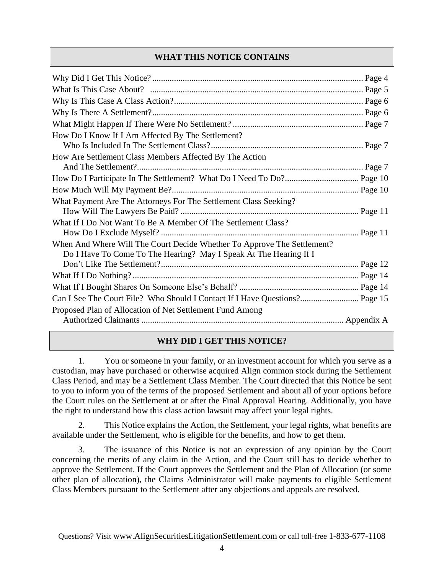# **WHAT THIS NOTICE CONTAINS**

| How Do I Know If I Am Affected By The Settlement?                                                                                            |  |
|----------------------------------------------------------------------------------------------------------------------------------------------|--|
|                                                                                                                                              |  |
| How Are Settlement Class Members Affected By The Action                                                                                      |  |
|                                                                                                                                              |  |
|                                                                                                                                              |  |
| What Payment Are The Attorneys For The Settlement Class Seeking?                                                                             |  |
| What If I Do Not Want To Be A Member Of The Settlement Class?                                                                                |  |
| When And Where Will The Court Decide Whether To Approve The Settlement?<br>Do I Have To Come To The Hearing? May I Speak At The Hearing If I |  |
|                                                                                                                                              |  |
|                                                                                                                                              |  |
|                                                                                                                                              |  |
| Can I See The Court File? Who Should I Contact If I Have Questions? Page 15                                                                  |  |
| Proposed Plan of Allocation of Net Settlement Fund Among                                                                                     |  |
|                                                                                                                                              |  |

# **WHY DID I GET THIS NOTICE?**

1. You or someone in your family, or an investment account for which you serve as a custodian, may have purchased or otherwise acquired Align common stock during the Settlement Class Period, and may be a Settlement Class Member. The Court directed that this Notice be sent to you to inform you of the terms of the proposed Settlement and about all of your options before the Court rules on the Settlement at or after the Final Approval Hearing. Additionally, you have the right to understand how this class action lawsuit may affect your legal rights.

This Notice explains the Action, the Settlement, your legal rights, what benefits are available under the Settlement, who is eligible for the benefits, and how to get them.

3. The issuance of this Notice is not an expression of any opinion by the Court concerning the merits of any claim in the Action, and the Court still has to decide whether to approve the Settlement. If the Court approves the Settlement and the Plan of Allocation (or some other plan of allocation), the Claims Administrator will make payments to eligible Settlement Class Members pursuant to the Settlement after any objections and appeals are resolved.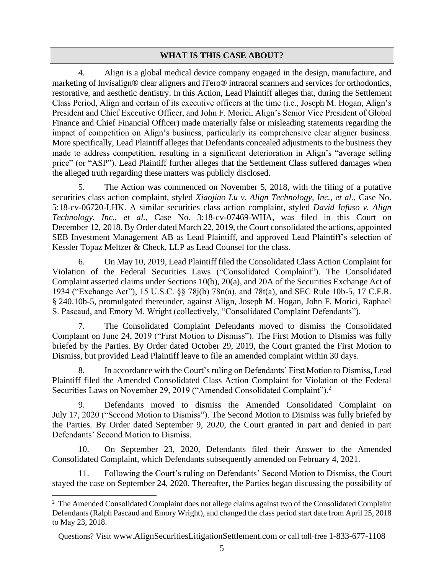#### **WHAT IS THIS CASE ABOUT?**

4. Align is a global medical device company engaged in the design, manufacture, and marketing of Invisalign® clear aligners and iTero® intraoral scanners and services for orthodontics, restorative, and aesthetic dentistry. In this Action, Lead Plaintiff alleges that, during the Settlement Class Period, Align and certain of its executive officers at the time (i.e., Joseph M. Hogan, Align's President and Chief Executive Officer, and John F. Morici, Align's Senior Vice President of Global Finance and Chief Financial Officer) made materially false or misleading statements regarding the impact of competition on Align's business, particularly its comprehensive clear aligner business. More specifically, Lead Plaintiff alleges that Defendants concealed adjustments to the business they made to address competition, resulting in a significant deterioration in Align's "average selling price" (or "ASP"). Lead Plaintiff further alleges that the Settlement Class suffered damages when the alleged truth regarding these matters was publicly disclosed.

5. The Action was commenced on November 5, 2018, with the filing of a putative securities class action complaint, styled *Xiaojiao Lu v. Align Technology, Inc., et al.*, Case No. 5:18-cv-06720-LHK. A similar securities class action complaint, styled *David Infuso v. Align Technology, Inc., et al.*, Case No. 3:18-cv-07469-WHA, was filed in this Court on December 12, 2018. By Order dated March 22, 2019, the Court consolidated the actions, appointed SEB Investment Management AB as Lead Plaintiff, and approved Lead Plaintiff's selection of Kessler Topaz Meltzer & Check, LLP as Lead Counsel for the class.

6. On May 10, 2019, Lead Plaintiff filed the Consolidated Class Action Complaint for Violation of the Federal Securities Laws ("Consolidated Complaint"). The Consolidated Complaint asserted claims under Sections 10(b), 20(a), and 20A of the Securities Exchange Act of 1934 ("Exchange Act"), 15 U.S.C. §§ 78j(b) 78n(a), and 78t(a), and SEC Rule 10b-5, 17 C.F.R. § 240.10b-5, promulgated thereunder, against Align, Joseph M. Hogan, John F. Morici, Raphael S. Pascaud, and Emory M. Wright (collectively, "Consolidated Complaint Defendants").

7. The Consolidated Complaint Defendants moved to dismiss the Consolidated Complaint on June 24, 2019 ("First Motion to Dismiss"). The First Motion to Dismiss was fully briefed by the Parties. By Order dated October 29, 2019, the Court granted the First Motion to Dismiss, but provided Lead Plaintiff leave to file an amended complaint within 30 days.

8. In accordance with the Court's ruling on Defendants' First Motion to Dismiss, Lead Plaintiff filed the Amended Consolidated Class Action Complaint for Violation of the Federal Securities Laws on November 29, 2019 ("Amended Consolidated Complaint").<sup>2</sup>

9. Defendants moved to dismiss the Amended Consolidated Complaint on July 17, 2020 ("Second Motion to Dismiss"). The Second Motion to Dismiss was fully briefed by the Parties. By Order dated September 9, 2020, the Court granted in part and denied in part Defendants' Second Motion to Dismiss.

10. On September 23, 2020, Defendants filed their Answer to the Amended Consolidated Complaint, which Defendants subsequently amended on February 4, 2021.

11. Following the Court's ruling on Defendants' Second Motion to Dismiss, the Court stayed the case on September 24, 2020. Thereafter, the Parties began discussing the possibility of

<sup>&</sup>lt;sup>2</sup> The Amended Consolidated Complaint does not allege claims against two of the Consolidated Complaint Defendants (Ralph Pascaud and Emory Wright), and changed the class period start date from April 25, 2018 to May 23, 2018.

Questions? Visit www.AlignSecuritiesLitigationSettlement.com or call toll-free 1-833-677-1108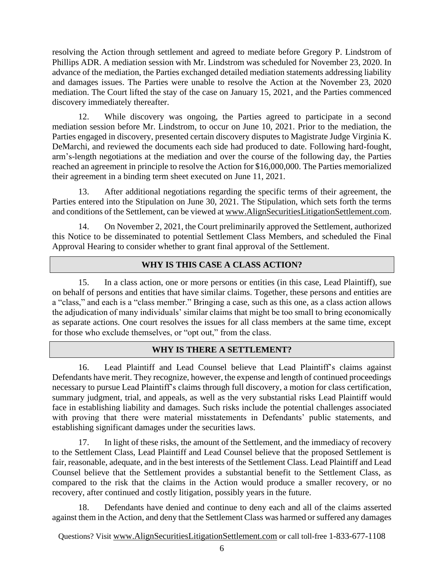resolving the Action through settlement and agreed to mediate before Gregory P. Lindstrom of Phillips ADR. A mediation session with Mr. Lindstrom was scheduled for November 23, 2020. In advance of the mediation, the Parties exchanged detailed mediation statements addressing liability and damages issues. The Parties were unable to resolve the Action at the November 23, 2020 mediation. The Court lifted the stay of the case on January 15, 2021, and the Parties commenced discovery immediately thereafter.

12. While discovery was ongoing, the Parties agreed to participate in a second mediation session before Mr. Lindstrom, to occur on June 10, 2021. Prior to the mediation, the Parties engaged in discovery, presented certain discovery disputes to Magistrate Judge Virginia K. DeMarchi, and reviewed the documents each side had produced to date. Following hard-fought, arm's-length negotiations at the mediation and over the course of the following day, the Parties reached an agreement in principle to resolve the Action for \$16,000,000. The Parties memorialized their agreement in a binding term sheet executed on June 11, 2021.

13. After additional negotiations regarding the specific terms of their agreement, the Parties entered into the Stipulation on June 30, 2021. The Stipulation, which sets forth the terms and conditions of the Settlement, can be viewed at [www.AlignSecuritiesLitigationSettlement.com.](http://www.alignsecuritieslitigationsettlement.com/)

14. On November 2, 2021, the Court preliminarily approved the Settlement, authorized this Notice to be disseminated to potential Settlement Class Members, and scheduled the Final Approval Hearing to consider whether to grant final approval of the Settlement.

# **WHY IS THIS CASE A CLASS ACTION?**

15. In a class action, one or more persons or entities (in this case, Lead Plaintiff), sue on behalf of persons and entities that have similar claims. Together, these persons and entities are a "class," and each is a "class member." Bringing a case, such as this one, as a class action allows the adjudication of many individuals' similar claims that might be too small to bring economically as separate actions. One court resolves the issues for all class members at the same time, except for those who exclude themselves, or "opt out," from the class.

## **WHY IS THERE A SETTLEMENT?**

16. Lead Plaintiff and Lead Counsel believe that Lead Plaintiff's claims against Defendants have merit. They recognize, however, the expense and length of continued proceedings necessary to pursue Lead Plaintiff's claims through full discovery, a motion for class certification, summary judgment, trial, and appeals, as well as the very substantial risks Lead Plaintiff would face in establishing liability and damages. Such risks include the potential challenges associated with proving that there were material misstatements in Defendants' public statements, and establishing significant damages under the securities laws.

17. In light of these risks, the amount of the Settlement, and the immediacy of recovery to the Settlement Class, Lead Plaintiff and Lead Counsel believe that the proposed Settlement is fair, reasonable, adequate, and in the best interests of the Settlement Class. Lead Plaintiff and Lead Counsel believe that the Settlement provides a substantial benefit to the Settlement Class, as compared to the risk that the claims in the Action would produce a smaller recovery, or no recovery, after continued and costly litigation, possibly years in the future.

18. Defendants have denied and continue to deny each and all of the claims asserted against them in the Action, and deny that the Settlement Class was harmed or suffered any damages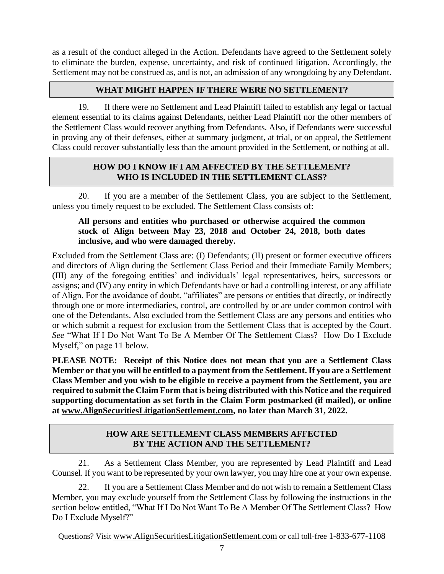as a result of the conduct alleged in the Action. Defendants have agreed to the Settlement solely to eliminate the burden, expense, uncertainty, and risk of continued litigation. Accordingly, the Settlement may not be construed as, and is not, an admission of any wrongdoing by any Defendant.

## **WHAT MIGHT HAPPEN IF THERE WERE NO SETTLEMENT?**

19. If there were no Settlement and Lead Plaintiff failed to establish any legal or factual element essential to its claims against Defendants, neither Lead Plaintiff nor the other members of the Settlement Class would recover anything from Defendants. Also, if Defendants were successful in proving any of their defenses, either at summary judgment, at trial, or on appeal, the Settlement Class could recover substantially less than the amount provided in the Settlement, or nothing at all.

## **HOW DO I KNOW IF I AM AFFECTED BY THE SETTLEMENT? WHO IS INCLUDED IN THE SETTLEMENT CLASS?**

20. If you are a member of the Settlement Class, you are subject to the Settlement, unless you timely request to be excluded. The Settlement Class consists of:

### **All persons and entities who purchased or otherwise acquired the common stock of Align between May 23, 2018 and October 24, 2018, both dates inclusive, and who were damaged thereby.**

Excluded from the Settlement Class are: (I) Defendants; (II) present or former executive officers and directors of Align during the Settlement Class Period and their Immediate Family Members; (III) any of the foregoing entities' and individuals' legal representatives, heirs, successors or assigns; and (IV) any entity in which Defendants have or had a controlling interest, or any affiliate of Align. For the avoidance of doubt, "affiliates" are persons or entities that directly, or indirectly through one or more intermediaries, control, are controlled by or are under common control with one of the Defendants. Also excluded from the Settlement Class are any persons and entities who or which submit a request for exclusion from the Settlement Class that is accepted by the Court. *See* "What If I Do Not Want To Be A Member Of The Settlement Class? How Do I Exclude Myself," on page 11 below.

**PLEASE NOTE: Receipt of this Notice does not mean that you are a Settlement Class Member or that you will be entitled to a payment from the Settlement. If you are a Settlement Class Member and you wish to be eligible to receive a payment from the Settlement, you are required to submit the Claim Form that is being distributed with this Notice and the required supporting documentation as set forth in the Claim Form postmarked (if mailed), or online at [www.AlignSecuritiesLitigationSettlement.com,](http://www.alignsecuritieslitigationsettlement.com/) no later than March 31, 2022.**

# **HOW ARE SETTLEMENT CLASS MEMBERS AFFECTED BY THE ACTION AND THE SETTLEMENT?**

21. As a Settlement Class Member, you are represented by Lead Plaintiff and Lead Counsel. If you want to be represented by your own lawyer, you may hire one at your own expense.

22. If you are a Settlement Class Member and do not wish to remain a Settlement Class Member, you may exclude yourself from the Settlement Class by following the instructions in the section below entitled, "What If I Do Not Want To Be A Member Of The Settlement Class? How Do I Exclude Myself?"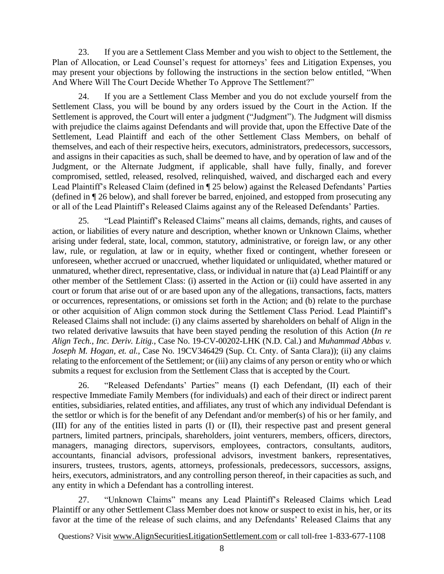23. If you are a Settlement Class Member and you wish to object to the Settlement, the Plan of Allocation, or Lead Counsel's request for attorneys' fees and Litigation Expenses, you may present your objections by following the instructions in the section below entitled, "When And Where Will The Court Decide Whether To Approve The Settlement?"

24. If you are a Settlement Class Member and you do not exclude yourself from the Settlement Class, you will be bound by any orders issued by the Court in the Action. If the Settlement is approved, the Court will enter a judgment ("Judgment"). The Judgment will dismiss with prejudice the claims against Defendants and will provide that, upon the Effective Date of the Settlement, Lead Plaintiff and each of the other Settlement Class Members, on behalf of themselves, and each of their respective heirs, executors, administrators, predecessors, successors, and assigns in their capacities as such, shall be deemed to have, and by operation of law and of the Judgment, or the Alternate Judgment, if applicable, shall have fully, finally, and forever compromised, settled, released, resolved, relinquished, waived, and discharged each and every Lead Plaintiff's Released Claim (defined in ¶ 25 below) against the Released Defendants' Parties (defined in ¶ 26 below), and shall forever be barred, enjoined, and estopped from prosecuting any or all of the Lead Plaintiff's Released Claims against any of the Released Defendants' Parties.

25. "Lead Plaintiff's Released Claims" means all claims, demands, rights, and causes of action, or liabilities of every nature and description, whether known or Unknown Claims, whether arising under federal, state, local, common, statutory, administrative, or foreign law, or any other law, rule, or regulation, at law or in equity, whether fixed or contingent, whether foreseen or unforeseen, whether accrued or unaccrued, whether liquidated or unliquidated, whether matured or unmatured, whether direct, representative, class, or individual in nature that (a) Lead Plaintiff or any other member of the Settlement Class: (i) asserted in the Action or (ii) could have asserted in any court or forum that arise out of or are based upon any of the allegations, transactions, facts, matters or occurrences, representations, or omissions set forth in the Action; and (b) relate to the purchase or other acquisition of Align common stock during the Settlement Class Period. Lead Plaintiff's Released Claims shall not include: (i) any claims asserted by shareholders on behalf of Align in the two related derivative lawsuits that have been stayed pending the resolution of this Action (*In re Align Tech., Inc. Deriv. Litig.*, Case No. 19-CV-00202-LHK (N.D. Cal.) and *Muhammad Abbas v. Joseph M. Hogan, et. al.*, Case No. 19CV346429 (Sup. Ct. Cnty. of Santa Clara)); (ii) any claims relating to the enforcement of the Settlement; or (iii) any claims of any person or entity who or which submits a request for exclusion from the Settlement Class that is accepted by the Court.

26. "Released Defendants' Parties" means (I) each Defendant, (II) each of their respective Immediate Family Members (for individuals) and each of their direct or indirect parent entities, subsidiaries, related entities, and affiliates, any trust of which any individual Defendant is the settlor or which is for the benefit of any Defendant and/or member(s) of his or her family, and (III) for any of the entities listed in parts (I) or (II), their respective past and present general partners, limited partners, principals, shareholders, joint venturers, members, officers, directors, managers, managing directors, supervisors, employees, contractors, consultants, auditors, accountants, financial advisors, professional advisors, investment bankers, representatives, insurers, trustees, trustors, agents, attorneys, professionals, predecessors, successors, assigns, heirs, executors, administrators, and any controlling person thereof, in their capacities as such, and any entity in which a Defendant has a controlling interest.

27. "Unknown Claims" means any Lead Plaintiff's Released Claims which Lead Plaintiff or any other Settlement Class Member does not know or suspect to exist in his, her, or its favor at the time of the release of such claims, and any Defendants' Released Claims that any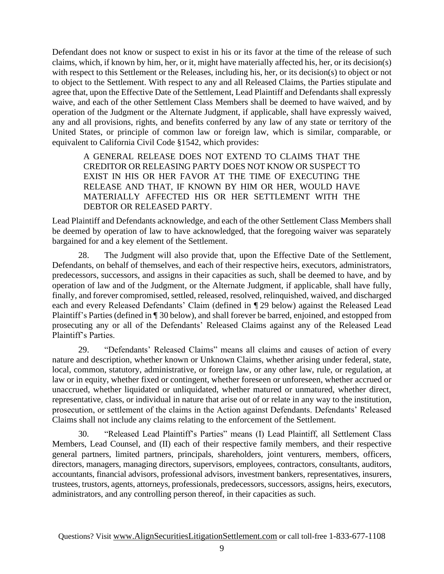Defendant does not know or suspect to exist in his or its favor at the time of the release of such claims, which, if known by him, her, or it, might have materially affected his, her, or its decision(s) with respect to this Settlement or the Releases, including his, her, or its decision(s) to object or not to object to the Settlement. With respect to any and all Released Claims, the Parties stipulate and agree that, upon the Effective Date of the Settlement, Lead Plaintiff and Defendants shall expressly waive, and each of the other Settlement Class Members shall be deemed to have waived, and by operation of the Judgment or the Alternate Judgment, if applicable, shall have expressly waived, any and all provisions, rights, and benefits conferred by any law of any state or territory of the United States, or principle of common law or foreign law, which is similar, comparable, or equivalent to California Civil Code §1542, which provides:

A GENERAL RELEASE DOES NOT EXTEND TO CLAIMS THAT THE CREDITOR OR RELEASING PARTY DOES NOT KNOW OR SUSPECT TO EXIST IN HIS OR HER FAVOR AT THE TIME OF EXECUTING THE RELEASE AND THAT, IF KNOWN BY HIM OR HER, WOULD HAVE MATERIALLY AFFECTED HIS OR HER SETTLEMENT WITH THE DEBTOR OR RELEASED PARTY.

Lead Plaintiff and Defendants acknowledge, and each of the other Settlement Class Members shall be deemed by operation of law to have acknowledged, that the foregoing waiver was separately bargained for and a key element of the Settlement.

28. The Judgment will also provide that, upon the Effective Date of the Settlement, Defendants, on behalf of themselves, and each of their respective heirs, executors, administrators, predecessors, successors, and assigns in their capacities as such, shall be deemed to have, and by operation of law and of the Judgment, or the Alternate Judgment, if applicable, shall have fully, finally, and forever compromised, settled, released, resolved, relinquished, waived, and discharged each and every Released Defendants' Claim (defined in ¶ 29 below) against the Released Lead Plaintiff's Parties (defined in ¶ 30 below), and shall forever be barred, enjoined, and estopped from prosecuting any or all of the Defendants' Released Claims against any of the Released Lead Plaintiff's Parties.

29. "Defendants' Released Claims" means all claims and causes of action of every nature and description, whether known or Unknown Claims, whether arising under federal, state, local, common, statutory, administrative, or foreign law, or any other law, rule, or regulation, at law or in equity, whether fixed or contingent, whether foreseen or unforeseen, whether accrued or unaccrued, whether liquidated or unliquidated, whether matured or unmatured, whether direct, representative, class, or individual in nature that arise out of or relate in any way to the institution, prosecution, or settlement of the claims in the Action against Defendants. Defendants' Released Claims shall not include any claims relating to the enforcement of the Settlement.

30. "Released Lead Plaintiff's Parties" means (I) Lead Plaintiff, all Settlement Class Members, Lead Counsel, and (II) each of their respective family members, and their respective general partners, limited partners, principals, shareholders, joint venturers, members, officers, directors, managers, managing directors, supervisors, employees, contractors, consultants, auditors, accountants, financial advisors, professional advisors, investment bankers, representatives, insurers, trustees, trustors, agents, attorneys, professionals, predecessors, successors, assigns, heirs, executors, administrators, and any controlling person thereof, in their capacities as such.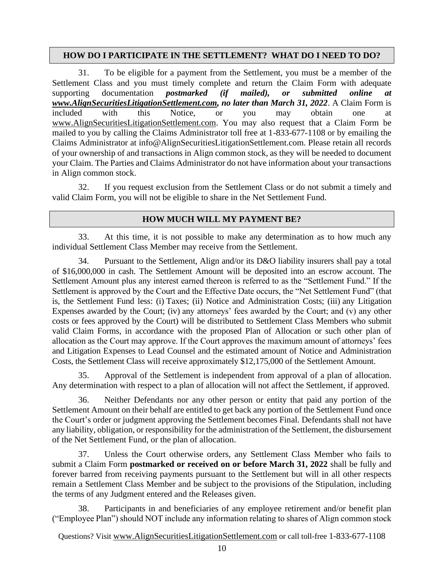### **HOW DO I PARTICIPATE IN THE SETTLEMENT? WHAT DO I NEED TO DO?**

31. To be eligible for a payment from the Settlement, you must be a member of the Settlement Class and you must timely complete and return the Claim Form with adequate supporting documentation *postmarked (if mailed), or submitted online at [www.AlignSecuritiesLitigationSettlement.com,](http://www.alignsecuritieslitigationsettlement.com/) no later than March 31, 2022*. A Claim Form is included with this Notice, or you may obtain one at [www.AlignSecuritiesLitigationSettlement.com.](http://www.alignsecuritieslitigationsettlement.com/) You may also request that a Claim Form be mailed to you by calling the Claims Administrator toll free at 1-833-677-1108 or by emailing the Claims Administrator at info@AlignSecuritiesLitigationSettlement.com. Please retain all records of your ownership of and transactions in Align common stock, as they will be needed to document your Claim. The Parties and Claims Administrator do not have information about your transactions in Align common stock.

32. If you request exclusion from the Settlement Class or do not submit a timely and valid Claim Form, you will not be eligible to share in the Net Settlement Fund.

### **HOW MUCH WILL MY PAYMENT BE?**

33. At this time, it is not possible to make any determination as to how much any individual Settlement Class Member may receive from the Settlement.

34. Pursuant to the Settlement, Align and/or its D&O liability insurers shall pay a total of \$16,000,000 in cash. The Settlement Amount will be deposited into an escrow account. The Settlement Amount plus any interest earned thereon is referred to as the "Settlement Fund." If the Settlement is approved by the Court and the Effective Date occurs, the "Net Settlement Fund" (that is, the Settlement Fund less: (i) Taxes; (ii) Notice and Administration Costs; (iii) any Litigation Expenses awarded by the Court; (iv) any attorneys' fees awarded by the Court; and (v) any other costs or fees approved by the Court) will be distributed to Settlement Class Members who submit valid Claim Forms, in accordance with the proposed Plan of Allocation or such other plan of allocation as the Court may approve. If the Court approves the maximum amount of attorneys' fees and Litigation Expenses to Lead Counsel and the estimated amount of Notice and Administration Costs, the Settlement Class will receive approximately \$12,175,000 of the Settlement Amount.

35. Approval of the Settlement is independent from approval of a plan of allocation. Any determination with respect to a plan of allocation will not affect the Settlement, if approved.

36. Neither Defendants nor any other person or entity that paid any portion of the Settlement Amount on their behalf are entitled to get back any portion of the Settlement Fund once the Court's order or judgment approving the Settlement becomes Final. Defendants shall not have any liability, obligation, or responsibility for the administration of the Settlement, the disbursement of the Net Settlement Fund, or the plan of allocation.

37. Unless the Court otherwise orders, any Settlement Class Member who fails to submit a Claim Form **postmarked or received on or before March 31, 2022** shall be fully and forever barred from receiving payments pursuant to the Settlement but will in all other respects remain a Settlement Class Member and be subject to the provisions of the Stipulation, including the terms of any Judgment entered and the Releases given.

38. Participants in and beneficiaries of any employee retirement and/or benefit plan ("Employee Plan") should NOT include any information relating to shares of Align common stock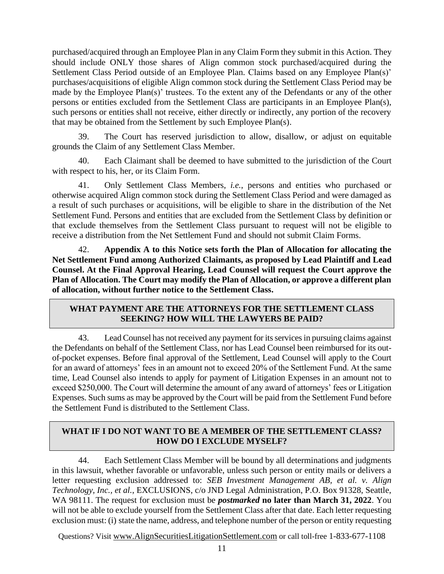purchased/acquired through an Employee Plan in any Claim Form they submit in this Action. They should include ONLY those shares of Align common stock purchased/acquired during the Settlement Class Period outside of an Employee Plan. Claims based on any Employee Plan(s)' purchases/acquisitions of eligible Align common stock during the Settlement Class Period may be made by the Employee Plan(s)' trustees. To the extent any of the Defendants or any of the other persons or entities excluded from the Settlement Class are participants in an Employee Plan(s), such persons or entities shall not receive, either directly or indirectly, any portion of the recovery that may be obtained from the Settlement by such Employee Plan(s).

39. The Court has reserved jurisdiction to allow, disallow, or adjust on equitable grounds the Claim of any Settlement Class Member.

40. Each Claimant shall be deemed to have submitted to the jurisdiction of the Court with respect to his, her, or its Claim Form.

41. Only Settlement Class Members, *i.e.*, persons and entities who purchased or otherwise acquired Align common stock during the Settlement Class Period and were damaged as a result of such purchases or acquisitions, will be eligible to share in the distribution of the Net Settlement Fund. Persons and entities that are excluded from the Settlement Class by definition or that exclude themselves from the Settlement Class pursuant to request will not be eligible to receive a distribution from the Net Settlement Fund and should not submit Claim Forms.

42. **Appendix A to this Notice sets forth the Plan of Allocation for allocating the Net Settlement Fund among Authorized Claimants, as proposed by Lead Plaintiff and Lead Counsel. At the Final Approval Hearing, Lead Counsel will request the Court approve the Plan of Allocation. The Court may modify the Plan of Allocation, or approve a different plan of allocation, without further notice to the Settlement Class.** 

# **WHAT PAYMENT ARE THE ATTORNEYS FOR THE SETTLEMENT CLASS SEEKING? HOW WILL THE LAWYERS BE PAID?**

43. Lead Counsel has not received any payment for its services in pursuing claims against the Defendants on behalf of the Settlement Class, nor has Lead Counsel been reimbursed for its outof-pocket expenses. Before final approval of the Settlement, Lead Counsel will apply to the Court for an award of attorneys' fees in an amount not to exceed 20% of the Settlement Fund. At the same time, Lead Counsel also intends to apply for payment of Litigation Expenses in an amount not to exceed \$250,000. The Court will determine the amount of any award of attorneys' fees or Litigation Expenses. Such sums as may be approved by the Court will be paid from the Settlement Fund before the Settlement Fund is distributed to the Settlement Class.

# **WHAT IF I DO NOT WANT TO BE A MEMBER OF THE SETTLEMENT CLASS? HOW DO I EXCLUDE MYSELF?**

44. Each Settlement Class Member will be bound by all determinations and judgments in this lawsuit, whether favorable or unfavorable, unless such person or entity mails or delivers a letter requesting exclusion addressed to: *SEB Investment Management AB, et al. v. Align Technology, Inc., et al.*, EXCLUSIONS, c/o JND Legal Administration, P.O. Box 91328, Seattle, WA 98111. The request for exclusion must be *postmarked* **no later than March 31, 2022**. You will not be able to exclude yourself from the Settlement Class after that date. Each letter requesting exclusion must: (i) state the name, address, and telephone number of the person or entity requesting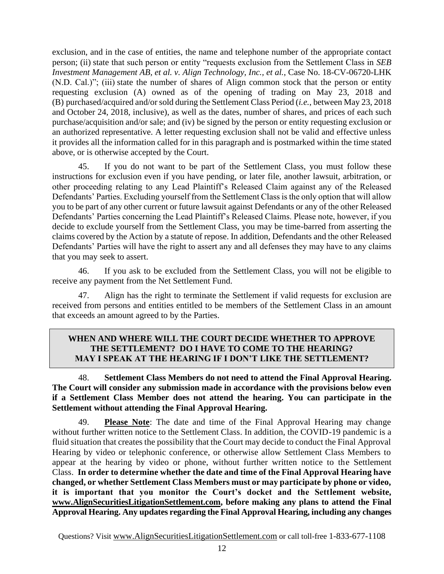exclusion, and in the case of entities, the name and telephone number of the appropriate contact person; (ii) state that such person or entity "requests exclusion from the Settlement Class in *SEB Investment Management AB, et al. v. Align Technology, Inc., et al.*, Case No. 18-CV-06720-LHK (N.D. Cal.)"; (iii) state the number of shares of Align common stock that the person or entity requesting exclusion (A) owned as of the opening of trading on May 23, 2018 and (B) purchased/acquired and/or sold during the Settlement Class Period (*i.e.*, between May 23, 2018 and October 24, 2018, inclusive), as well as the dates, number of shares, and prices of each such purchase/acquisition and/or sale; and (iv) be signed by the person or entity requesting exclusion or an authorized representative. A letter requesting exclusion shall not be valid and effective unless it provides all the information called for in this paragraph and is postmarked within the time stated above, or is otherwise accepted by the Court.

45. If you do not want to be part of the Settlement Class, you must follow these instructions for exclusion even if you have pending, or later file, another lawsuit, arbitration, or other proceeding relating to any Lead Plaintiff's Released Claim against any of the Released Defendants' Parties. Excluding yourself from the Settlement Class is the only option that will allow you to be part of any other current or future lawsuit against Defendants or any of the other Released Defendants' Parties concerning the Lead Plaintiff's Released Claims. Please note, however, if you decide to exclude yourself from the Settlement Class, you may be time-barred from asserting the claims covered by the Action by a statute of repose. In addition, Defendants and the other Released Defendants' Parties will have the right to assert any and all defenses they may have to any claims that you may seek to assert.

46. If you ask to be excluded from the Settlement Class, you will not be eligible to receive any payment from the Net Settlement Fund.

47. Align has the right to terminate the Settlement if valid requests for exclusion are received from persons and entities entitled to be members of the Settlement Class in an amount that exceeds an amount agreed to by the Parties.

### **WHEN AND WHERE WILL THE COURT DECIDE WHETHER TO APPROVE THE SETTLEMENT? DO I HAVE TO COME TO THE HEARING? MAY I SPEAK AT THE HEARING IF I DON'T LIKE THE SETTLEMENT?**

### 48. **Settlement Class Members do not need to attend the Final Approval Hearing. The Court will consider any submission made in accordance with the provisions below even if a Settlement Class Member does not attend the hearing. You can participate in the Settlement without attending the Final Approval Hearing.**

49. **Please Note**: The date and time of the Final Approval Hearing may change without further written notice to the Settlement Class. In addition, the COVID-19 pandemic is a fluid situation that creates the possibility that the Court may decide to conduct the Final Approval Hearing by video or telephonic conference, or otherwise allow Settlement Class Members to appear at the hearing by video or phone, without further written notice to the Settlement Class. **In order to determine whether the date and time of the Final Approval Hearing have changed, or whether Settlement Class Members must or may participate by phone or video, it is important that you monitor the Court's docket and the Settlement website, [www.AlignSecuritiesLitigationSettlement.com,](http://www.alignsecuritieslitigationsettlement.com/) before making any plans to attend the Final Approval Hearing. Any updates regarding the Final Approval Hearing, including any changes**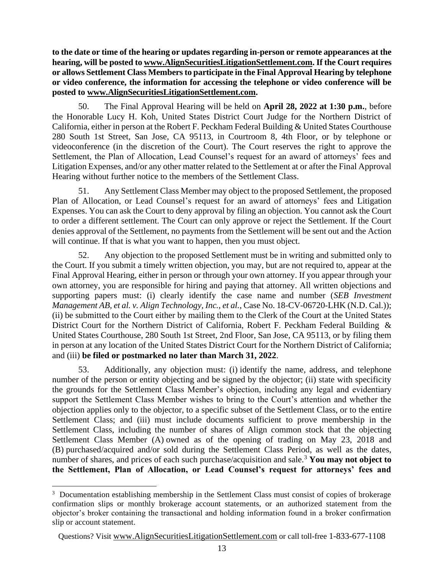**to the date or time of the hearing or updates regarding in-person or remote appearances at the hearing, will be posted t[o www.AlignSecuritiesLitigationSettlement.com.](http://www.alignsecuritieslitigationsettlement.com/) If the Court requires or allows Settlement Class Members to participate in the Final Approval Hearing by telephone or video conference, the information for accessing the telephone or video conference will be posted to [www.AlignSecuritiesLitigationSettlement.com.](http://www.alignsecuritieslitigationsettlement.com/)**

50. The Final Approval Hearing will be held on **April 28, 2022 at 1:30 p.m.**, before the Honorable Lucy H. Koh, United States District Court Judge for the Northern District of California, either in person at the Robert F. Peckham Federal Building & United States Courthouse 280 South 1st Street, San Jose, CA 95113, in Courtroom 8, 4th Floor, or by telephone or videoconference (in the discretion of the Court). The Court reserves the right to approve the Settlement, the Plan of Allocation, Lead Counsel's request for an award of attorneys' fees and Litigation Expenses, and/or any other matter related to the Settlement at or after the Final Approval Hearing without further notice to the members of the Settlement Class.

51. Any Settlement Class Member may object to the proposed Settlement, the proposed Plan of Allocation, or Lead Counsel's request for an award of attorneys' fees and Litigation Expenses. You can ask the Court to deny approval by filing an objection. You cannot ask the Court to order a different settlement. The Court can only approve or reject the Settlement. If the Court denies approval of the Settlement, no payments from the Settlement will be sent out and the Action will continue. If that is what you want to happen, then you must object.

52. Any objection to the proposed Settlement must be in writing and submitted only to the Court. If you submit a timely written objection, you may, but are not required to, appear at the Final Approval Hearing, either in person or through your own attorney. If you appear through your own attorney, you are responsible for hiring and paying that attorney. All written objections and supporting papers must: (i) clearly identify the case name and number (*SEB Investment Management AB, et al. v. Align Technology, Inc., et al.*, Case No. 18-CV-06720-LHK (N.D. Cal.)); (ii) be submitted to the Court either by mailing them to the Clerk of the Court at the United States District Court for the Northern District of California, Robert F. Peckham Federal Building & United States Courthouse, 280 South 1st Street, 2nd Floor, San Jose, CA 95113, or by filing them in person at any location of the United States District Court for the Northern District of California; and (iii) **be filed or postmarked no later than March 31, 2022**.

53. Additionally, any objection must: (i) identify the name, address, and telephone number of the person or entity objecting and be signed by the objector; (ii) state with specificity the grounds for the Settlement Class Member's objection, including any legal and evidentiary support the Settlement Class Member wishes to bring to the Court's attention and whether the objection applies only to the objector, to a specific subset of the Settlement Class, or to the entire Settlement Class; and (iii) must include documents sufficient to prove membership in the Settlement Class, including the number of shares of Align common stock that the objecting Settlement Class Member (A) owned as of the opening of trading on May 23, 2018 and (B) purchased/acquired and/or sold during the Settlement Class Period, as well as the dates, number of shares, and prices of each such purchase/acquisition and sale.<sup>3</sup> You may not object to **the Settlement, Plan of Allocation, or Lead Counsel's request for attorneys' fees and** 

<sup>&</sup>lt;sup>3</sup> Documentation establishing membership in the Settlement Class must consist of copies of brokerage confirmation slips or monthly brokerage account statements, or an authorized statement from the objector's broker containing the transactional and holding information found in a broker confirmation slip or account statement.

Questions? Visit www.AlignSecuritiesLitigationSettlement.com or call toll-free 1-833-677-1108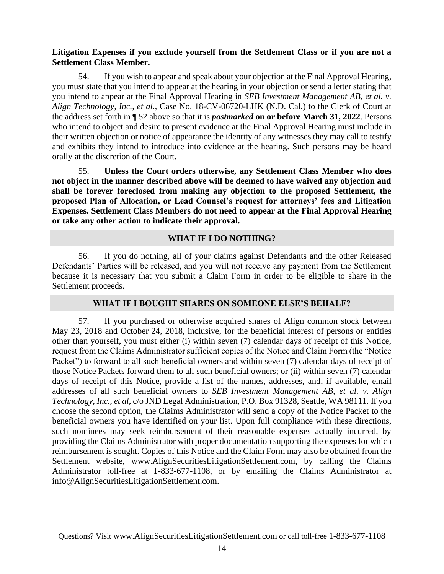## **Litigation Expenses if you exclude yourself from the Settlement Class or if you are not a Settlement Class Member.**

54. If you wish to appear and speak about your objection at the Final Approval Hearing, you must state that you intend to appear at the hearing in your objection or send a letter stating that you intend to appear at the Final Approval Hearing in *SEB Investment Management AB, et al. v. Align Technology, Inc., et al.*, Case No. 18-CV-06720-LHK (N.D. Cal.) to the Clerk of Court at the address set forth in ¶ 52 above so that it is *postmarked* **on or before March 31, 2022**. Persons who intend to object and desire to present evidence at the Final Approval Hearing must include in their written objection or notice of appearance the identity of any witnesses they may call to testify and exhibits they intend to introduce into evidence at the hearing. Such persons may be heard orally at the discretion of the Court.

55. **Unless the Court orders otherwise, any Settlement Class Member who does not object in the manner described above will be deemed to have waived any objection and shall be forever foreclosed from making any objection to the proposed Settlement, the proposed Plan of Allocation, or Lead Counsel's request for attorneys' fees and Litigation Expenses. Settlement Class Members do not need to appear at the Final Approval Hearing or take any other action to indicate their approval.**

# **WHAT IF I DO NOTHING?**

56. If you do nothing, all of your claims against Defendants and the other Released Defendants' Parties will be released, and you will not receive any payment from the Settlement because it is necessary that you submit a Claim Form in order to be eligible to share in the Settlement proceeds.

## **WHAT IF I BOUGHT SHARES ON SOMEONE ELSE'S BEHALF?**

57. If you purchased or otherwise acquired shares of Align common stock between May 23, 2018 and October 24, 2018, inclusive, for the beneficial interest of persons or entities other than yourself, you must either (i) within seven (7) calendar days of receipt of this Notice, request from the Claims Administrator sufficient copies of the Notice and Claim Form (the "Notice Packet") to forward to all such beneficial owners and within seven (7) calendar days of receipt of those Notice Packets forward them to all such beneficial owners; or (ii) within seven (7) calendar days of receipt of this Notice, provide a list of the names, addresses, and, if available, email addresses of all such beneficial owners to *SEB Investment Management AB, et al. v. Align Technology, Inc., et al*, c/o JND Legal Administration, P.O. Box 91328, Seattle, WA 98111. If you choose the second option, the Claims Administrator will send a copy of the Notice Packet to the beneficial owners you have identified on your list. Upon full compliance with these directions, such nominees may seek reimbursement of their reasonable expenses actually incurred, by providing the Claims Administrator with proper documentation supporting the expenses for which reimbursement is sought. Copies of this Notice and the Claim Form may also be obtained from the Settlement website, [www.AlignSecuritiesLitigationSettlement.com,](http://www.alignsecuritieslitigationsettlement.com/) by calling the Claims Administrator toll-free at 1-833-677-1108, or by emailing the Claims Administrator at info@AlignSecuritiesLitigationSettlement.com.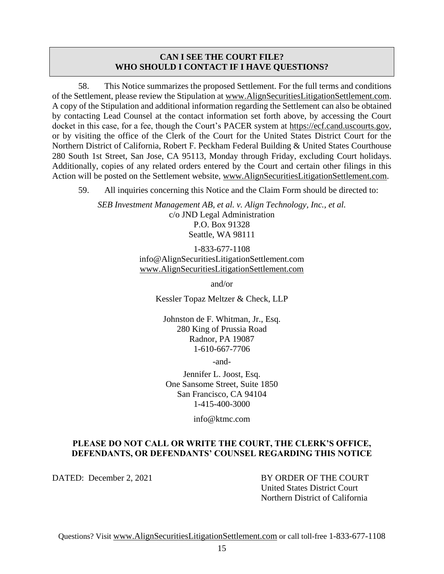#### **CAN I SEE THE COURT FILE? WHO SHOULD I CONTACT IF I HAVE QUESTIONS?**

58. This Notice summarizes the proposed Settlement. For the full terms and conditions of the Settlement, please review the Stipulation at www.AlignSecuritiesLitigationSettlement.com. A copy of the Stipulation and additional information regarding the Settlement can also be obtained by contacting Lead Counsel at the contact information set forth above, by accessing the Court docket in this case, for a fee, though the Court's PACER system at [https://ecf.cand.uscourts.gov,](https://ecf.cand.uscourts.gov/) or by visiting the office of the Clerk of the Court for the United States District Court for the Northern District of California, Robert F. Peckham Federal Building & United States Courthouse 280 South 1st Street, San Jose, CA 95113, Monday through Friday, excluding Court holidays. Additionally, copies of any related orders entered by the Court and certain other filings in this Action will be posted on the Settlement website, www.AlignSecuritiesLitigationSettlement.com.

59. All inquiries concerning this Notice and the Claim Form should be directed to:

*SEB Investment Management AB, et al. v. Align Technology, Inc., et al.* c/o JND Legal Administration P.O. Box 91328 Seattle, WA 98111

> 1-833-677-1108 info@AlignSecuritiesLitigationSettlement.com www.AlignSecuritiesLitigationSettlement.com

> > and/or

Kessler Topaz Meltzer & Check, LLP

Johnston de F. Whitman, Jr., Esq. 280 King of Prussia Road Radnor, PA 19087 1-610-667-7706

-and-

Jennifer L. Joost, Esq. One Sansome Street, Suite 1850 San Francisco, CA 94104 1-415-400-3000

info@ktmc.com

## **PLEASE DO NOT CALL OR WRITE THE COURT, THE CLERK'S OFFICE, DEFENDANTS, OR DEFENDANTS' COUNSEL REGARDING THIS NOTICE**

DATED: December 2, 2021 BY ORDER OF THE COURT United States District Court Northern District of California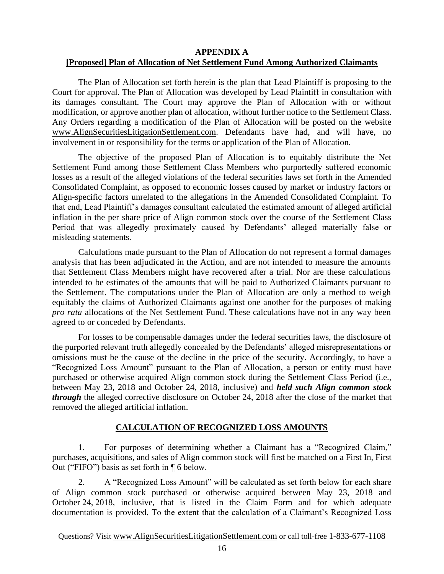#### **APPENDIX A [Proposed] Plan of Allocation of Net Settlement Fund Among Authorized Claimants**

The Plan of Allocation set forth herein is the plan that Lead Plaintiff is proposing to the Court for approval. The Plan of Allocation was developed by Lead Plaintiff in consultation with its damages consultant. The Court may approve the Plan of Allocation with or without modification, or approve another plan of allocation, without further notice to the Settlement Class. Any Orders regarding a modification of the Plan of Allocation will be posted on the website www.AlignSecuritiesLitigationSettlement.com. Defendants have had, and will have, no involvement in or responsibility for the terms or application of the Plan of Allocation.

The objective of the proposed Plan of Allocation is to equitably distribute the Net Settlement Fund among those Settlement Class Members who purportedly suffered economic losses as a result of the alleged violations of the federal securities laws set forth in the Amended Consolidated Complaint, as opposed to economic losses caused by market or industry factors or Align-specific factors unrelated to the allegations in the Amended Consolidated Complaint. To that end, Lead Plaintiff's damages consultant calculated the estimated amount of alleged artificial inflation in the per share price of Align common stock over the course of the Settlement Class Period that was allegedly proximately caused by Defendants' alleged materially false or misleading statements.

Calculations made pursuant to the Plan of Allocation do not represent a formal damages analysis that has been adjudicated in the Action, and are not intended to measure the amounts that Settlement Class Members might have recovered after a trial. Nor are these calculations intended to be estimates of the amounts that will be paid to Authorized Claimants pursuant to the Settlement. The computations under the Plan of Allocation are only a method to weigh equitably the claims of Authorized Claimants against one another for the purposes of making *pro rata* allocations of the Net Settlement Fund. These calculations have not in any way been agreed to or conceded by Defendants.

For losses to be compensable damages under the federal securities laws, the disclosure of the purported relevant truth allegedly concealed by the Defendants' alleged misrepresentations or omissions must be the cause of the decline in the price of the security. Accordingly, to have a "Recognized Loss Amount" pursuant to the Plan of Allocation, a person or entity must have purchased or otherwise acquired Align common stock during the Settlement Class Period (i.e., between May 23, 2018 and October 24, 2018, inclusive) and *held such Align common stock through* the alleged corrective disclosure on October 24, 2018 after the close of the market that removed the alleged artificial inflation.

## **CALCULATION OF RECOGNIZED LOSS AMOUNTS**

1. For purposes of determining whether a Claimant has a "Recognized Claim," purchases, acquisitions, and sales of Align common stock will first be matched on a First In, First Out ("FIFO") basis as set forth in ¶ 6 below.

2. A "Recognized Loss Amount" will be calculated as set forth below for each share of Align common stock purchased or otherwise acquired between May 23, 2018 and October 24, 2018, inclusive, that is listed in the Claim Form and for which adequate documentation is provided. To the extent that the calculation of a Claimant's Recognized Loss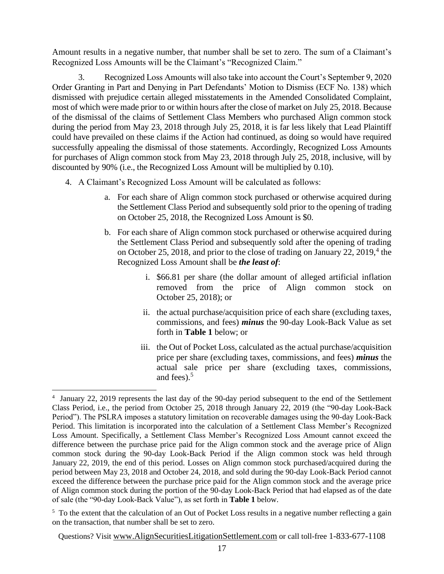Amount results in a negative number, that number shall be set to zero. The sum of a Claimant's Recognized Loss Amounts will be the Claimant's "Recognized Claim."

3. Recognized Loss Amounts will also take into account the Court's September 9, 2020 Order Granting in Part and Denying in Part Defendants' Motion to Dismiss (ECF No. 138) which dismissed with prejudice certain alleged misstatements in the Amended Consolidated Complaint, most of which were made prior to or within hours after the close of market on July 25, 2018. Because of the dismissal of the claims of Settlement Class Members who purchased Align common stock during the period from May 23, 2018 through July 25, 2018, it is far less likely that Lead Plaintiff could have prevailed on these claims if the Action had continued, as doing so would have required successfully appealing the dismissal of those statements. Accordingly, Recognized Loss Amounts for purchases of Align common stock from May 23, 2018 through July 25, 2018, inclusive, will by discounted by 90% (i.e., the Recognized Loss Amount will be multiplied by 0.10).

- 4. A Claimant's Recognized Loss Amount will be calculated as follows:
	- a. For each share of Align common stock purchased or otherwise acquired during the Settlement Class Period and subsequently sold prior to the opening of trading on October 25, 2018, the Recognized Loss Amount is \$0.
	- b. For each share of Align common stock purchased or otherwise acquired during the Settlement Class Period and subsequently sold after the opening of trading on October 25, 2018, and prior to the close of trading on January 22, 2019, $4$  the Recognized Loss Amount shall be *the least of*:
		- i. \$66.81 per share (the dollar amount of alleged artificial inflation removed from the price of Align common stock on October 25, 2018); or
		- ii. the actual purchase/acquisition price of each share (excluding taxes, commissions, and fees) *minus* the 90-day Look-Back Value as set forth in **Table 1** below; or
		- iii. the Out of Pocket Loss, calculated as the actual purchase/acquisition price per share (excluding taxes, commissions, and fees) *minus* the actual sale price per share (excluding taxes, commissions, and fees). $5$

<sup>&</sup>lt;sup>4</sup> January 22, 2019 represents the last day of the 90-day period subsequent to the end of the Settlement Class Period, i.e., the period from October 25, 2018 through January 22, 2019 (the "90-day Look-Back Period"). The PSLRA imposes a statutory limitation on recoverable damages using the 90-day Look-Back Period. This limitation is incorporated into the calculation of a Settlement Class Member's Recognized Loss Amount. Specifically, a Settlement Class Member's Recognized Loss Amount cannot exceed the difference between the purchase price paid for the Align common stock and the average price of Align common stock during the 90-day Look-Back Period if the Align common stock was held through January 22, 2019, the end of this period. Losses on Align common stock purchased/acquired during the period between May 23, 2018 and October 24, 2018, and sold during the 90-day Look-Back Period cannot exceed the difference between the purchase price paid for the Align common stock and the average price of Align common stock during the portion of the 90-day Look-Back Period that had elapsed as of the date of sale (the "90-day Look-Back Value"), as set forth in **Table 1** below.

<sup>&</sup>lt;sup>5</sup> To the extent that the calculation of an Out of Pocket Loss results in a negative number reflecting a gain on the transaction, that number shall be set to zero.

Questions? Visit www.AlignSecuritiesLitigationSettlement.com or call toll-free 1-833-677-1108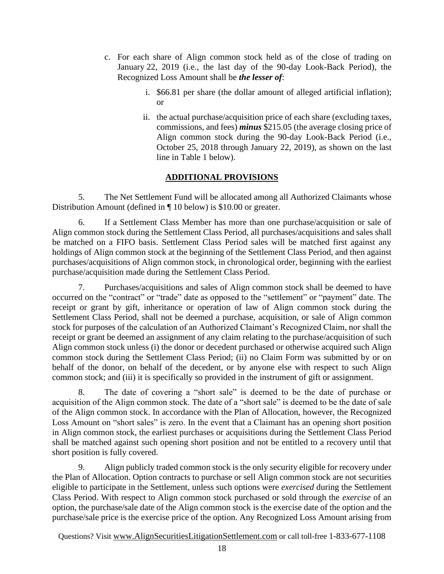- c. For each share of Align common stock held as of the close of trading on January 22, 2019 (i.e., the last day of the 90-day Look-Back Period), the Recognized Loss Amount shall be *the lesser of*:
	- i. \$66.81 per share (the dollar amount of alleged artificial inflation);  $\alpha r$
	- ii. the actual purchase/acquisition price of each share (excluding taxes, commissions, and fees) *minus* \$215.05 (the average closing price of Align common stock during the 90-day Look-Back Period (i.e., October 25, 2018 through January 22, 2019), as shown on the last line in Table 1 below).

# **ADDITIONAL PROVISIONS**

5. The Net Settlement Fund will be allocated among all Authorized Claimants whose Distribution Amount (defined in ¶ 10 below) is \$10.00 or greater.

6. If a Settlement Class Member has more than one purchase/acquisition or sale of Align common stock during the Settlement Class Period, all purchases/acquisitions and sales shall be matched on a FIFO basis. Settlement Class Period sales will be matched first against any holdings of Align common stock at the beginning of the Settlement Class Period, and then against purchases/acquisitions of Align common stock, in chronological order, beginning with the earliest purchase/acquisition made during the Settlement Class Period.

7. Purchases/acquisitions and sales of Align common stock shall be deemed to have occurred on the "contract" or "trade" date as opposed to the "settlement" or "payment" date. The receipt or grant by gift, inheritance or operation of law of Align common stock during the Settlement Class Period, shall not be deemed a purchase, acquisition, or sale of Align common stock for purposes of the calculation of an Authorized Claimant's Recognized Claim, nor shall the receipt or grant be deemed an assignment of any claim relating to the purchase/acquisition of such Align common stock unless (i) the donor or decedent purchased or otherwise acquired such Align common stock during the Settlement Class Period; (ii) no Claim Form was submitted by or on behalf of the donor, on behalf of the decedent, or by anyone else with respect to such Align common stock; and (iii) it is specifically so provided in the instrument of gift or assignment.

8. The date of covering a "short sale" is deemed to be the date of purchase or acquisition of the Align common stock. The date of a "short sale" is deemed to be the date of sale of the Align common stock. In accordance with the Plan of Allocation, however, the Recognized Loss Amount on "short sales" is zero. In the event that a Claimant has an opening short position in Align common stock, the earliest purchases or acquisitions during the Settlement Class Period shall be matched against such opening short position and not be entitled to a recovery until that short position is fully covered.

9. Align publicly traded common stock is the only security eligible for recovery under the Plan of Allocation. Option contracts to purchase or sell Align common stock are not securities eligible to participate in the Settlement, unless such options were *exercised* during the Settlement Class Period. With respect to Align common stock purchased or sold through the *exercise* of an option, the purchase/sale date of the Align common stock is the exercise date of the option and the purchase/sale price is the exercise price of the option. Any Recognized Loss Amount arising from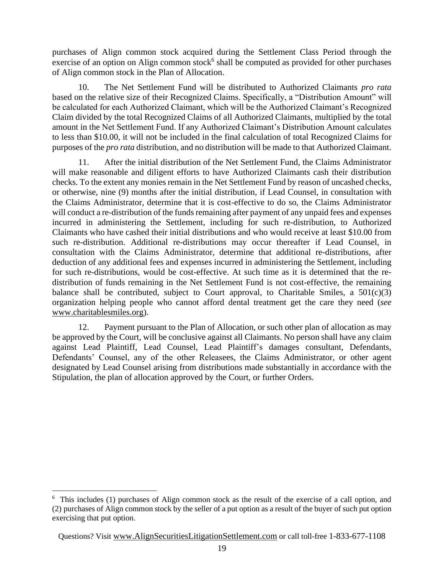purchases of Align common stock acquired during the Settlement Class Period through the exercise of an option on Align common stock $6$  shall be computed as provided for other purchases of Align common stock in the Plan of Allocation.

10. The Net Settlement Fund will be distributed to Authorized Claimants *pro rata* based on the relative size of their Recognized Claims. Specifically, a "Distribution Amount" will be calculated for each Authorized Claimant, which will be the Authorized Claimant's Recognized Claim divided by the total Recognized Claims of all Authorized Claimants, multiplied by the total amount in the Net Settlement Fund. If any Authorized Claimant's Distribution Amount calculates to less than \$10.00, it will not be included in the final calculation of total Recognized Claims for purposes of the *pro rata* distribution, and no distribution will be made to that Authorized Claimant.

11. After the initial distribution of the Net Settlement Fund, the Claims Administrator will make reasonable and diligent efforts to have Authorized Claimants cash their distribution checks. To the extent any monies remain in the Net Settlement Fund by reason of uncashed checks, or otherwise, nine (9) months after the initial distribution, if Lead Counsel, in consultation with the Claims Administrator, determine that it is cost-effective to do so, the Claims Administrator will conduct a re-distribution of the funds remaining after payment of any unpaid fees and expenses incurred in administering the Settlement, including for such re-distribution, to Authorized Claimants who have cashed their initial distributions and who would receive at least \$10.00 from such re-distribution. Additional re-distributions may occur thereafter if Lead Counsel, in consultation with the Claims Administrator, determine that additional re-distributions, after deduction of any additional fees and expenses incurred in administering the Settlement, including for such re-distributions, would be cost-effective. At such time as it is determined that the redistribution of funds remaining in the Net Settlement Fund is not cost-effective, the remaining balance shall be contributed, subject to Court approval, to Charitable Smiles, a  $501(c)(3)$ organization helping people who cannot afford dental treatment get the care they need (*see* www.charitablesmiles.org).

12. Payment pursuant to the Plan of Allocation, or such other plan of allocation as may be approved by the Court, will be conclusive against all Claimants. No person shall have any claim against Lead Plaintiff, Lead Counsel, Lead Plaintiff's damages consultant, Defendants, Defendants' Counsel, any of the other Releasees, the Claims Administrator, or other agent designated by Lead Counsel arising from distributions made substantially in accordance with the Stipulation, the plan of allocation approved by the Court, or further Orders.

<sup>&</sup>lt;sup>6</sup> This includes (1) purchases of Align common stock as the result of the exercise of a call option, and (2) purchases of Align common stock by the seller of a put option as a result of the buyer of such put option exercising that put option.

Questions? Visit www.AlignSecuritiesLitigationSettlement.com or call toll-free 1-833-677-1108